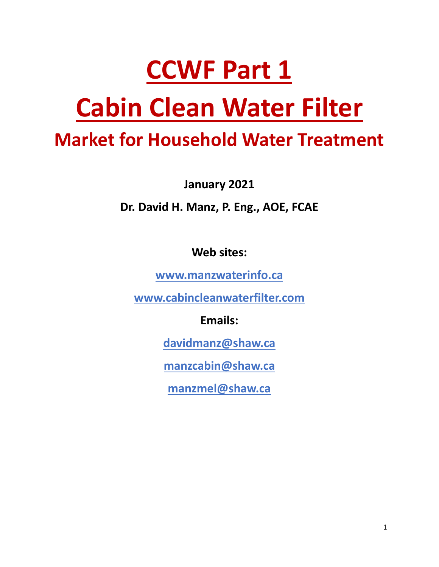# **CCWF Part 1**

# **Cabin Clean Water Filter**

### **Market for Household Water Treatment**

**January 2021**

**Dr. David H. Manz, P. Eng., AOE, FCAE**

**Web sites:**

**[www.manzwaterinfo.ca](http://www.manzwaterinfo.ca/)**

**[www.cabincleanwaterfilter.com](http://www.cabincleanwaterfilter.com/)**

**Emails:**

**[davidmanz@shaw.ca](mailto:davidmanz@shaw.ca)**

**[manzcabin@shaw.ca](mailto:manzcabin@shaw.ca)**

**[manzmel@shaw.ca](mailto:manzmel@shaw.ca)**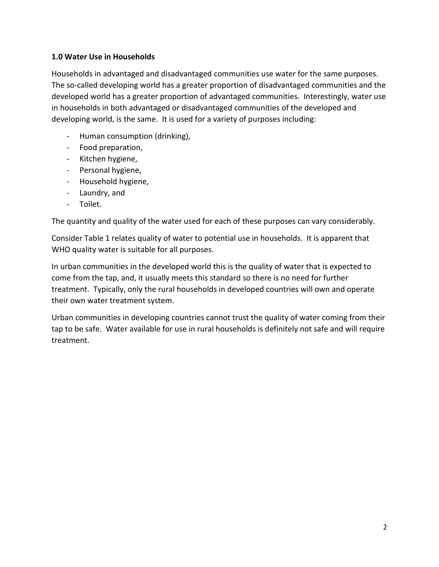#### **1.0 Water Use in Households**

Households in advantaged and disadvantaged communities use water for the same purposes. The so-called developing world has a greater proportion of disadvantaged communities and the developed world has a greater proportion of advantaged communities. Interestingly, water use in households in both advantaged or disadvantaged communities of the developed and developing world, is the same. It is used for a variety of purposes including:

- Human consumption (drinking),
- Food preparation,
- Kitchen hygiene,
- Personal hygiene,
- Household hygiene,
- Laundry, and
- Toilet.

The quantity and quality of the water used for each of these purposes can vary considerably.

Consider Table 1 relates quality of water to potential use in households. It is apparent that WHO quality water is suitable for all purposes.

In urban communities in the developed world this is the quality of water that is expected to come from the tap, and, it usually meets this standard so there is no need for further treatment. Typically, only the rural households in developed countries will own and operate their own water treatment system.

Urban communities in developing countries cannot trust the quality of water coming from their tap to be safe. Water available for use in rural households is definitely not safe and will require treatment.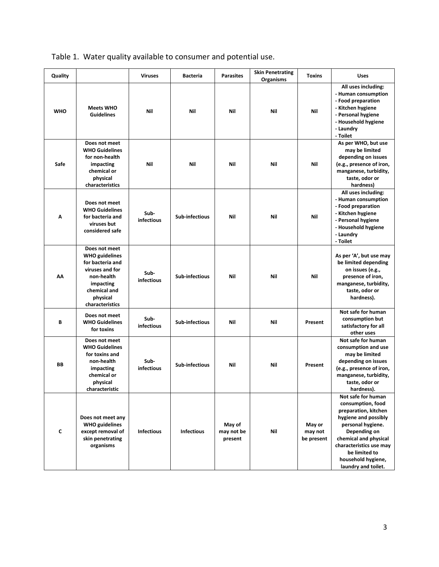| Quality    |                                                                                                                                                         | <b>Viruses</b>     | <b>Bacteria</b>   | <b>Parasites</b>                | <b>Skin Penetrating</b><br><b>Organisms</b> | <b>Toxins</b>                   | <b>Uses</b>                                                                                                                                                                                                                                    |
|------------|---------------------------------------------------------------------------------------------------------------------------------------------------------|--------------------|-------------------|---------------------------------|---------------------------------------------|---------------------------------|------------------------------------------------------------------------------------------------------------------------------------------------------------------------------------------------------------------------------------------------|
| <b>WHO</b> | <b>Meets WHO</b><br><b>Guidelines</b>                                                                                                                   | Nil                | Nil               | Nil                             | Nil                                         | Nil                             | All uses including:<br>- Human consumption<br>- Food preparation<br>- Kitchen hygiene<br>- Personal hygiene<br>- Household hygiene<br>- Laundry<br>- Toilet                                                                                    |
| Safe       | Does not meet<br><b>WHO Guidelines</b><br>for non-health<br>impacting<br>chemical or<br>physical<br>characteristics                                     | Nil                | Nil               | Nil                             | Nil                                         | Nil                             | As per WHO, but use<br>may be limited<br>depending on issues<br>(e.g., presence of iron,<br>manganese, turbidity,<br>taste, odor or<br>hardness)                                                                                               |
| A          | Does not meet<br><b>WHO Guidelines</b><br>for bacteria and<br>viruses but<br>considered safe                                                            | Sub-<br>infectious | Sub-infectious    | Nil                             | Nil                                         | Nil                             | All uses including:<br>- Human consumption<br>- Food preparation<br>- Kitchen hygiene<br>- Personal hygiene<br>- Household hygiene<br>- Laundry<br>- Toilet                                                                                    |
| AΛ         | Does not meet<br><b>WHO</b> guidelines<br>for bacteria and<br>viruses and for<br>non-health<br>impacting<br>chemical and<br>physical<br>characteristics | Sub-<br>infectious | Sub-infectious    | Nil                             | Nil                                         | Nil                             | As per 'A', but use may<br>be limited depending<br>on issues (e.g.,<br>presence of iron,<br>manganese, turbidity,<br>taste, odor or<br>hardness).                                                                                              |
| В          | Does not meet<br><b>WHO Guidelines</b><br>for toxins                                                                                                    | Sub-<br>infectious | Sub-infectious    | Nil                             | Nil                                         | Present                         | Not safe for human<br>consumption but<br>satisfactory for all<br>other uses                                                                                                                                                                    |
| BB         | Does not meet<br><b>WHO Guidelines</b><br>for toxins and<br>non-health<br>impacting<br>chemical or<br>physical<br>characteristic                        | Sub-<br>infectious | Sub-infectious    | Nil                             | Nil                                         | Present                         | Not safe for human<br>consumption and use<br>may be limited<br>depending on issues<br>(e.g., presence of iron,<br>manganese, turbidity,<br>taste, odor or<br>hardness).                                                                        |
| C          | Does not meet any<br><b>WHO</b> guidelines<br>except removal of<br>skin penetrating<br>organisms                                                        | <b>Infectious</b>  | <b>Infectious</b> | May of<br>may not be<br>present | Nil                                         | May or<br>may not<br>be present | Not safe for human<br>consumption, food<br>preparation, kitchen<br>hygiene and possibly<br>personal hygiene.<br>Depending on<br>chemical and physical<br>characteristics use may<br>be limited to<br>household hygiene,<br>laundry and toilet. |

#### Table 1. Water quality available to consumer and potential use.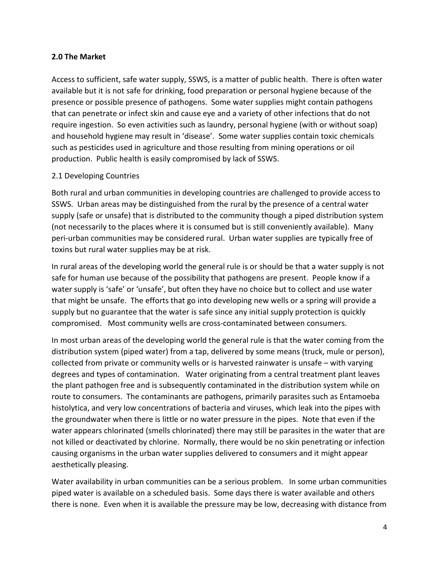#### **2.0 The Market**

Access to sufficient, safe water supply, SSWS, is a matter of public health. There is often water available but it is not safe for drinking, food preparation or personal hygiene because of the presence or possible presence of pathogens. Some water supplies might contain pathogens that can penetrate or infect skin and cause eye and a variety of other infections that do not require ingestion. So even activities such as laundry, personal hygiene (with or without soap) and household hygiene may result in 'disease'. Some water supplies contain toxic chemicals such as pesticides used in agriculture and those resulting from mining operations or oil production. Public health is easily compromised by lack of SSWS.

#### 2.1 Developing Countries

Both rural and urban communities in developing countries are challenged to provide access to SSWS. Urban areas may be distinguished from the rural by the presence of a central water supply (safe or unsafe) that is distributed to the community though a piped distribution system (not necessarily to the places where it is consumed but is still conveniently available). Many peri-urban communities may be considered rural. Urban water supplies are typically free of toxins but rural water supplies may be at risk.

In rural areas of the developing world the general rule is or should be that a water supply is not safe for human use because of the possibility that pathogens are present. People know if a water supply is 'safe' or 'unsafe', but often they have no choice but to collect and use water that might be unsafe. The efforts that go into developing new wells or a spring will provide a supply but no guarantee that the water is safe since any initial supply protection is quickly compromised. Most community wells are cross-contaminated between consumers.

In most urban areas of the developing world the general rule is that the water coming from the distribution system (piped water) from a tap, delivered by some means (truck, mule or person), collected from private or community wells or is harvested rainwater is unsafe – with varying degrees and types of contamination. Water originating from a central treatment plant leaves the plant pathogen free and is subsequently contaminated in the distribution system while on route to consumers. The contaminants are pathogens, primarily parasites such as Entamoeba histolytica, and very low concentrations of bacteria and viruses, which leak into the pipes with the groundwater when there is little or no water pressure in the pipes. Note that even if the water appears chlorinated (smells chlorinated) there may still be parasites in the water that are not killed or deactivated by chlorine. Normally, there would be no skin penetrating or infection causing organisms in the urban water supplies delivered to consumers and it might appear aesthetically pleasing.

Water availability in urban communities can be a serious problem. In some urban communities piped water is available on a scheduled basis. Some days there is water available and others there is none. Even when it is available the pressure may be low, decreasing with distance from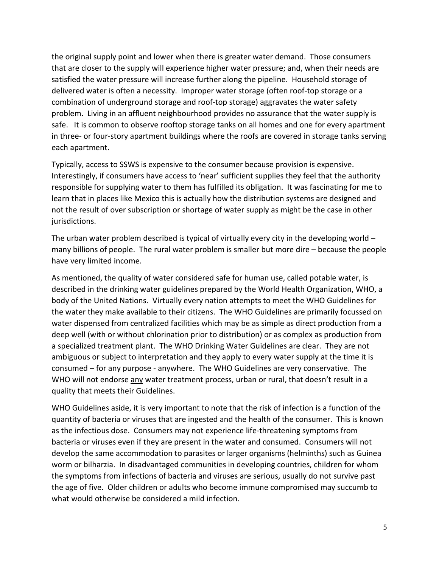the original supply point and lower when there is greater water demand. Those consumers that are closer to the supply will experience higher water pressure; and, when their needs are satisfied the water pressure will increase further along the pipeline. Household storage of delivered water is often a necessity. Improper water storage (often roof-top storage or a combination of underground storage and roof-top storage) aggravates the water safety problem. Living in an affluent neighbourhood provides no assurance that the water supply is safe. It is common to observe rooftop storage tanks on all homes and one for every apartment in three- or four-story apartment buildings where the roofs are covered in storage tanks serving each apartment.

Typically, access to SSWS is expensive to the consumer because provision is expensive. Interestingly, if consumers have access to 'near' sufficient supplies they feel that the authority responsible for supplying water to them has fulfilled its obligation. It was fascinating for me to learn that in places like Mexico this is actually how the distribution systems are designed and not the result of over subscription or shortage of water supply as might be the case in other jurisdictions.

The urban water problem described is typical of virtually every city in the developing world  $$ many billions of people. The rural water problem is smaller but more dire – because the people have very limited income.

As mentioned, the quality of water considered safe for human use, called potable water, is described in the drinking water guidelines prepared by the World Health Organization, WHO, a body of the United Nations. Virtually every nation attempts to meet the WHO Guidelines for the water they make available to their citizens. The WHO Guidelines are primarily focussed on water dispensed from centralized facilities which may be as simple as direct production from a deep well (with or without chlorination prior to distribution) or as complex as production from a specialized treatment plant. The WHO Drinking Water Guidelines are clear. They are not ambiguous or subject to interpretation and they apply to every water supply at the time it is consumed – for any purpose - anywhere. The WHO Guidelines are very conservative. The WHO will not endorse any water treatment process, urban or rural, that doesn't result in a quality that meets their Guidelines.

WHO Guidelines aside, it is very important to note that the risk of infection is a function of the quantity of bacteria or viruses that are ingested and the health of the consumer. This is known as the infectious dose. Consumers may not experience life-threatening symptoms from bacteria or viruses even if they are present in the water and consumed. Consumers will not develop the same accommodation to parasites or larger organisms (helminths) such as Guinea worm or bilharzia. In disadvantaged communities in developing countries, children for whom the symptoms from infections of bacteria and viruses are serious, usually do not survive past the age of five. Older children or adults who become immune compromised may succumb to what would otherwise be considered a mild infection.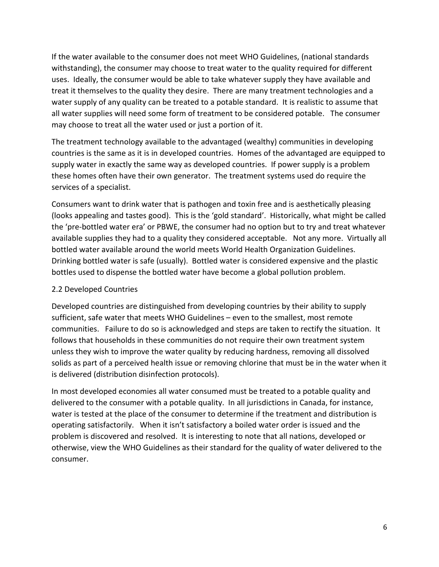If the water available to the consumer does not meet WHO Guidelines, (national standards withstanding), the consumer may choose to treat water to the quality required for different uses. Ideally, the consumer would be able to take whatever supply they have available and treat it themselves to the quality they desire. There are many treatment technologies and a water supply of any quality can be treated to a potable standard. It is realistic to assume that all water supplies will need some form of treatment to be considered potable. The consumer may choose to treat all the water used or just a portion of it.

The treatment technology available to the advantaged (wealthy) communities in developing countries is the same as it is in developed countries. Homes of the advantaged are equipped to supply water in exactly the same way as developed countries. If power supply is a problem these homes often have their own generator. The treatment systems used do require the services of a specialist.

Consumers want to drink water that is pathogen and toxin free and is aesthetically pleasing (looks appealing and tastes good). This is the 'gold standard'. Historically, what might be called the 'pre-bottled water era' or PBWE, the consumer had no option but to try and treat whatever available supplies they had to a quality they considered acceptable. Not any more. Virtually all bottled water available around the world meets World Health Organization Guidelines. Drinking bottled water is safe (usually). Bottled water is considered expensive and the plastic bottles used to dispense the bottled water have become a global pollution problem.

#### 2.2 Developed Countries

Developed countries are distinguished from developing countries by their ability to supply sufficient, safe water that meets WHO Guidelines – even to the smallest, most remote communities. Failure to do so is acknowledged and steps are taken to rectify the situation. It follows that households in these communities do not require their own treatment system unless they wish to improve the water quality by reducing hardness, removing all dissolved solids as part of a perceived health issue or removing chlorine that must be in the water when it is delivered (distribution disinfection protocols).

In most developed economies all water consumed must be treated to a potable quality and delivered to the consumer with a potable quality. In all jurisdictions in Canada, for instance, water is tested at the place of the consumer to determine if the treatment and distribution is operating satisfactorily. When it isn't satisfactory a boiled water order is issued and the problem is discovered and resolved. It is interesting to note that all nations, developed or otherwise, view the WHO Guidelines as their standard for the quality of water delivered to the consumer.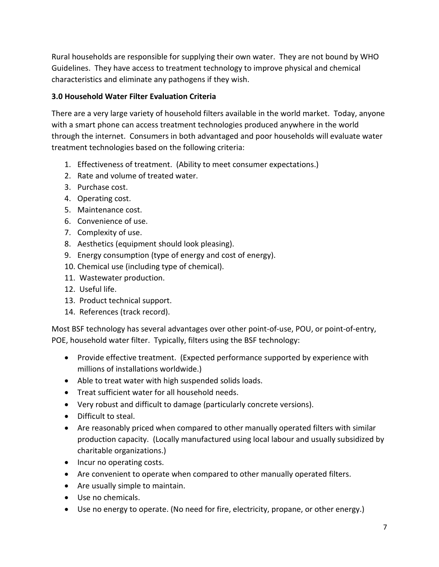Rural households are responsible for supplying their own water. They are not bound by WHO Guidelines. They have access to treatment technology to improve physical and chemical characteristics and eliminate any pathogens if they wish.

#### **3.0 Household Water Filter Evaluation Criteria**

There are a very large variety of household filters available in the world market. Today, anyone with a smart phone can access treatment technologies produced anywhere in the world through the internet. Consumers in both advantaged and poor households will evaluate water treatment technologies based on the following criteria:

- 1. Effectiveness of treatment. (Ability to meet consumer expectations.)
- 2. Rate and volume of treated water.
- 3. Purchase cost.
- 4. Operating cost.
- 5. Maintenance cost.
- 6. Convenience of use.
- 7. Complexity of use.
- 8. Aesthetics (equipment should look pleasing).
- 9. Energy consumption (type of energy and cost of energy).
- 10. Chemical use (including type of chemical).
- 11. Wastewater production.
- 12. Useful life.
- 13. Product technical support.
- 14. References (track record).

Most BSF technology has several advantages over other point-of-use, POU, or point-of-entry, POE, household water filter. Typically, filters using the BSF technology:

- Provide effective treatment. (Expected performance supported by experience with millions of installations worldwide.)
- Able to treat water with high suspended solids loads.
- Treat sufficient water for all household needs.
- Very robust and difficult to damage (particularly concrete versions).
- Difficult to steal.
- Are reasonably priced when compared to other manually operated filters with similar production capacity. (Locally manufactured using local labour and usually subsidized by charitable organizations.)
- Incur no operating costs.
- Are convenient to operate when compared to other manually operated filters.
- Are usually simple to maintain.
- Use no chemicals.
- Use no energy to operate. (No need for fire, electricity, propane, or other energy.)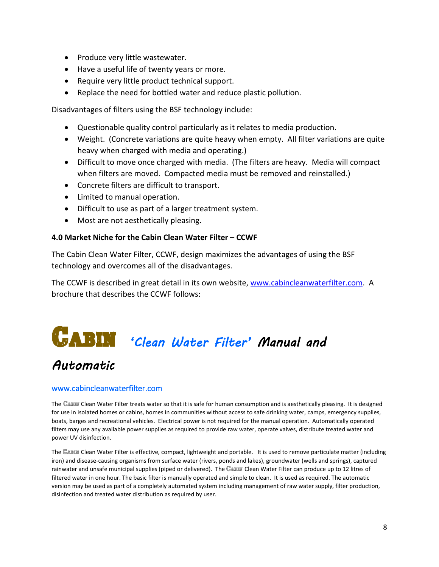- Produce very little wastewater.
- Have a useful life of twenty years or more.
- Require very little product technical support.
- Replace the need for bottled water and reduce plastic pollution.

Disadvantages of filters using the BSF technology include:

- Questionable quality control particularly as it relates to media production.
- Weight. (Concrete variations are quite heavy when empty. All filter variations are quite heavy when charged with media and operating.)
- Difficult to move once charged with media. (The filters are heavy. Media will compact when filters are moved. Compacted media must be removed and reinstalled.)
- Concrete filters are difficult to transport.
- Limited to manual operation.
- Difficult to use as part of a larger treatment system.
- Most are not aesthetically pleasing.

#### **4.0 Market Niche for the Cabin Clean Water Filter – CCWF**

The Cabin Clean Water Filter, CCWF, design maximizes the advantages of using the BSF technology and overcomes all of the disadvantages.

The CCWF is described in great detail in its own website, [www.cabincleanwaterfilter.com.](http://www.cabincleanwaterfilter.com/) A brochure that describes the CCWF follows:

## $C$ **ABIN** 'Clean Water Filter' Manual and

#### *Automatic*

#### www.cabincleanwaterfilter.com

The CABIN Clean Water Filter treats water so that it is safe for human consumption and is aesthetically pleasing. It is designed for use in isolated homes or cabins, homes in communities without access to safe drinking water, camps, emergency supplies, boats, barges and recreational vehicles. Electrical power is not required for the manual operation. Automatically operated filters may use any available power supplies as required to provide raw water, operate valves, distribute treated water and power UV disinfection.

The CABIN Clean Water Filter is effective, compact, lightweight and portable. It is used to remove particulate matter (including iron) and disease-causing organisms from surface water (rivers, ponds and lakes), groundwater (wells and springs), captured rainwater and unsafe municipal supplies (piped or delivered). The CABIN Clean Water Filter can produce up to 12 litres of filtered water in one hour. The basic filter is manually operated and simple to clean. It is used as required. The automatic version may be used as part of a completely automated system including management of raw water supply, filter production, disinfection and treated water distribution as required by user.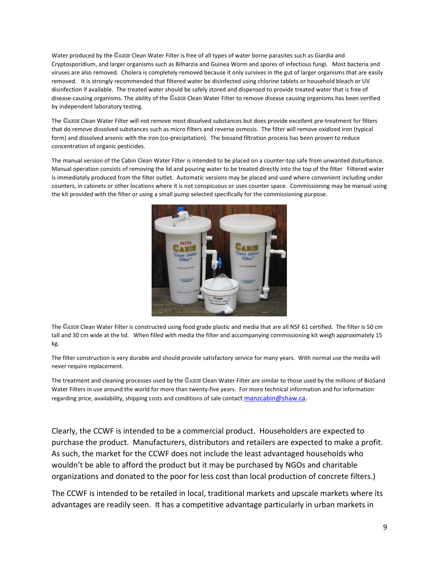Water produced by the CABIN Clean Water Filter is free of all types of water borne parasites such as Giardia and Cryptosporidium, and larger organisms such as Bilharzia and Guinea Worm and spores of infectious fungi. Most bacteria and viruses are also removed. Cholera is completely removed because it only survives in the gut of larger organisms that are easily removed. It is strongly recommended that filtered water be disinfected using chlorine tablets or household bleach or UV disinfection if available. The treated water should be safely stored and dispensed to provide treated water that is free of disease-causing organisms. The ability of the CABIN Clean Water Filter to remove disease causing organisms has been verified by independent laboratory testing.

The CABIN Clean Water Filter will not remove most dissolved substances but does provide excellent pre-treatment for filters that do remove dissolved substances such as micro filters and reverse osmosis. The filter will remove oxidized iron (typical form) and dissolved arsenic with the iron (co-precipitation). The biosand filtration process has been proven to reduce concentration of organic pesticides.

The manual version of the Cabin Clean Water Filter is intended to be placed on a counter-top safe from unwanted disturbance. Manual operation consists of removing the lid and pouring water to be treated directly into the top of the filter Filtered water is immediately produced from the filter outlet. Automatic versions may be placed and used where convenient including under counters, in cabinets or other locations where it is not conspicuous or uses counter space. Commissioning may be manual using the kit provided with the filter or using a small pump selected specifically for the commissioning purpose.



The CABIN Clean Water Filter is constructed using food grade plastic and media that are all NSF 61 certified. The filter is 50 cm tall and 30 cm wide at the lid. When filled with media the filter and accompanying commissioning kit weigh approximately 15 kg.

The filter construction is very durable and should provide satisfactory service for many years. With normal use the media will never require replacement.

The treatment and cleaning processes used by the CABIN Clean Water Filter are similar to those used by the millions of BioSand Water Filters in use around the world for more than twenty-five years. For more technical information and for information regarding price, availability, shipping costs and conditions of sale contact [manzcabin@shaw.ca.](mailto:manzcabin@shaw.ca)

Clearly, the CCWF is intended to be a commercial product. Householders are expected to purchase the product. Manufacturers, distributors and retailers are expected to make a profit. As such, the market for the CCWF does not include the least advantaged households who wouldn't be able to afford the product but it may be purchased by NGOs and charitable organizations and donated to the poor for less cost than local production of concrete filters.)

The CCWF is intended to be retailed in local, traditional markets and upscale markets where its advantages are readily seen. It has a competitive advantage particularly in urban markets in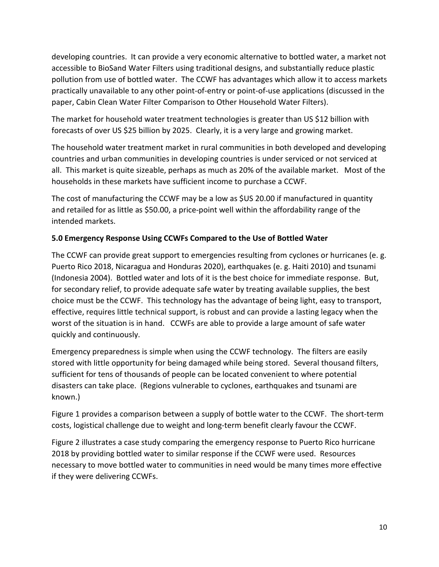developing countries. It can provide a very economic alternative to bottled water, a market not accessible to BioSand Water Filters using traditional designs, and substantially reduce plastic pollution from use of bottled water. The CCWF has advantages which allow it to access markets practically unavailable to any other point-of-entry or point-of-use applications (discussed in the paper, Cabin Clean Water Filter Comparison to Other Household Water Filters).

The market for household water treatment technologies is greater than US \$12 billion with forecasts of over US \$25 billion by 2025. Clearly, it is a very large and growing market.

The household water treatment market in rural communities in both developed and developing countries and urban communities in developing countries is under serviced or not serviced at all. This market is quite sizeable, perhaps as much as 20% of the available market. Most of the households in these markets have sufficient income to purchase a CCWF.

The cost of manufacturing the CCWF may be a low as \$US 20.00 if manufactured in quantity and retailed for as little as \$50.00, a price-point well within the affordability range of the intended markets.

#### **5.0 Emergency Response Using CCWFs Compared to the Use of Bottled Water**

The CCWF can provide great support to emergencies resulting from cyclones or hurricanes (e. g. Puerto Rico 2018, Nicaragua and Honduras 2020), earthquakes (e. g. Haiti 2010) and tsunami (Indonesia 2004). Bottled water and lots of it is the best choice for immediate response. But, for secondary relief, to provide adequate safe water by treating available supplies, the best choice must be the CCWF. This technology has the advantage of being light, easy to transport, effective, requires little technical support, is robust and can provide a lasting legacy when the worst of the situation is in hand. CCWFs are able to provide a large amount of safe water quickly and continuously.

Emergency preparedness is simple when using the CCWF technology. The filters are easily stored with little opportunity for being damaged while being stored. Several thousand filters, sufficient for tens of thousands of people can be located convenient to where potential disasters can take place. (Regions vulnerable to cyclones, earthquakes and tsunami are known.)

Figure 1 provides a comparison between a supply of bottle water to the CCWF. The short-term costs, logistical challenge due to weight and long-term benefit clearly favour the CCWF.

Figure 2 illustrates a case study comparing the emergency response to Puerto Rico hurricane 2018 by providing bottled water to similar response if the CCWF were used. Resources necessary to move bottled water to communities in need would be many times more effective if they were delivering CCWFs.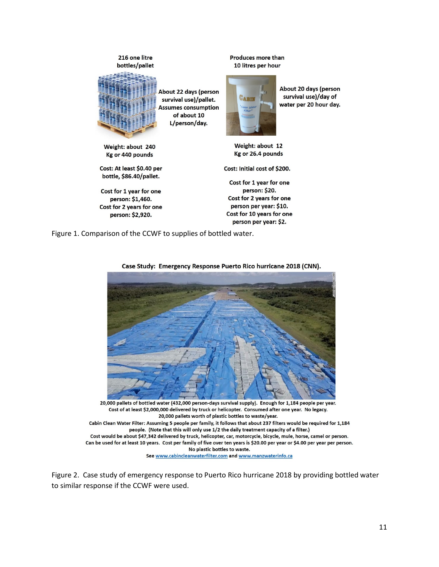216 one litre bottles/pallet



About 22 days (person survival use)/pallet. **Assumes consumption** of about 10 L/person/day.

Weight: about 240 Kg or 440 pounds

Cost: At least \$0.40 per bottle, \$86.40/pallet.

Cost for 1 year for one person: \$1,460. Cost for 2 years for one person: \$2,920.

Produces more than 10 litres per hour



About 20 days (person survival use)/day of water per 20 hour day.

Weight: about 12 Kg or 26.4 pounds

Cost: Initial cost of \$200.

Cost for 1 year for one person: \$20. Cost for 2 years for one person per year: \$10. Cost for 10 years for one person per year: \$2.

Figure 1. Comparison of the CCWF to supplies of bottled water.



Case Study: Emergency Response Puerto Rico hurricane 2018 (CNN).

20,000 pallets of bottled water (432,000 person-days survival supply). Enough for 1,184 people per year. Cost of at least \$2,000,000 delivered by truck or helicopter. Consumed after one year. No legacy. 20,000 pallets worth of plastic bottles to waste/year. Cabin Clean Water Filter: Assuming 5 people per family, it follows that about 237 filters would be required for 1,184 people. (Note that this will only use 1/2 the daily treatment capacity of a filter.) Cost would be about \$47,342 delivered by truck, helicopter, car, motorcycle, bicycle, mule, horse, camel or person. Can be used for at least 10 years. Cost per family of five over ten years is \$20.00 per year or \$4.00 per year per person. No plastic bottles to waste.

See www.cabincleanwaterfilter.com and www.manzwaterinfo.ca

Figure 2. Case study of emergency response to Puerto Rico hurricane 2018 by providing bottled water to similar response if the CCWF were used.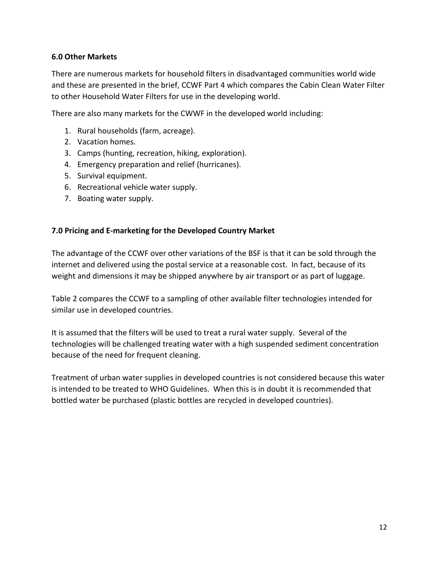#### **6.0 Other Markets**

There are numerous markets for household filters in disadvantaged communities world wide and these are presented in the brief, CCWF Part 4 which compares the Cabin Clean Water Filter to other Household Water Filters for use in the developing world.

There are also many markets for the CWWF in the developed world including:

- 1. Rural households (farm, acreage).
- 2. Vacation homes.
- 3. Camps (hunting, recreation, hiking, exploration).
- 4. Emergency preparation and relief (hurricanes).
- 5. Survival equipment.
- 6. Recreational vehicle water supply.
- 7. Boating water supply.

#### **7.0 Pricing and E-marketing for the Developed Country Market**

The advantage of the CCWF over other variations of the BSF is that it can be sold through the internet and delivered using the postal service at a reasonable cost. In fact, because of its weight and dimensions it may be shipped anywhere by air transport or as part of luggage.

Table 2 compares the CCWF to a sampling of other available filter technologies intended for similar use in developed countries.

It is assumed that the filters will be used to treat a rural water supply. Several of the technologies will be challenged treating water with a high suspended sediment concentration because of the need for frequent cleaning.

Treatment of urban water supplies in developed countries is not considered because this water is intended to be treated to WHO Guidelines. When this is in doubt it is recommended that bottled water be purchased (plastic bottles are recycled in developed countries).